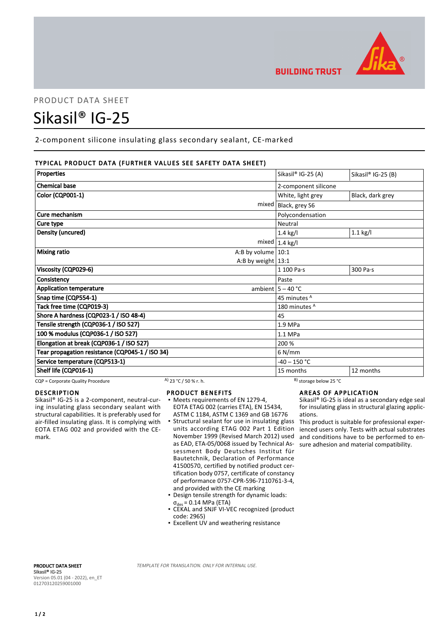

## PRODUCT DATA SHEET

# Sikasil® IG-25

2-component silicone insulating glass secondary sealant, CE-marked

### TYPICAL PRODUCT DATA (FURTHER VALUES SEE SAFETY DATA SHEET)

| Properties                                      | Sikasil® IG-25 (A)      | Sikasil® IG-25 (B) |
|-------------------------------------------------|-------------------------|--------------------|
|                                                 |                         |                    |
| <b>Chemical base</b>                            | 2-component silicone    |                    |
| <b>Color (CQP001-1)</b>                         | White, light grey       | Black, dark grey   |
| mixed                                           | Black, grey S6          |                    |
| Cure mechanism                                  | Polycondensation        |                    |
| Cure type                                       | Neutral                 |                    |
| Density (uncured)                               | $1.4$ kg/l              | $1.1$ kg/l         |
|                                                 | mixed $1.4$ kg/l        |                    |
| <b>Mixing ratio</b><br>A:B by volume $ 10:1$    |                         |                    |
| A:B by weight $13:1$                            |                         |                    |
| Viscosity (CQP029-6)                            | 1 100 Pa·s              | 300 Pa·s           |
| Consistency                                     | Paste                   |                    |
| <b>Application temperature</b>                  | ambient $5 - 40$ °C     |                    |
| Snap time (CQP554-1)                            | 45 minutes <sup>A</sup> |                    |
| Tack free time (CQP019-3)                       | 180 minutes A           |                    |
| Shore A hardness (CQP023-1 / ISO 48-4)          | 45                      |                    |
| Tensile strength (CQP036-1 / ISO 527)           | 1.9 MPa                 |                    |
| 100 % modulus (CQP036-1 / ISO 527)              | 1.1 MPa                 |                    |
| Elongation at break (CQP036-1 / ISO 527)        | 200 %                   |                    |
| Tear propagation resistance (CQP045-1 / ISO 34) | $6$ N/mm                |                    |
| Service temperature (CQP513-1)                  | $-40 - 150$ °C          |                    |
| Shelf life (CQP016-1)                           | 15 months               | 12 months          |

CQP = Corporate Quality Procedure A) 23 °C / 50 % r. h. B) storage below 25 °C

#### DESCRIPTION

Sikasil® IG-25 is a 2-component, neutral-curing insulating glass secondary sealant with structural capabilities. It is preferably used for air-filled insulating glass. It is complying with EOTA ETAG 002 and provided with the CEmark.

#### PRODUCT BENEFITS

- Meets requirements of EN 1279-4, EOTA ETAG 002 (carries ETA), EN 15434, ASTM C 1184, ASTM C 1369 and GB 16776
- **Structural sealant for use in insulating glass** units according ETAG 002 Part 1 Edition November 1999 (Revised March 2012) used as EAD, ETA-05/0068 issued by Technical Assessment Body Deutsches Institut für Bautetchnik, Declaration of Performance 41500570, certified by notified product certification body 0757, certificate of constancy of performance 0757-CPR-596-7110761-3-4, and provided with the CE marking
- Design tensile strength for dynamic loads:  $\sigma_{des}$  = 0.14 MPa (ETA)
- CEKAL and SNJF VI-VEC recognized (product code: 2965)
- **Excellent UV and weathering resistance**

#### AREAS OF APPLICATION

Sikasil® IG-25 is ideal as a secondary edge seal for insulating glass in structural glazing applications.

This product is suitable for professional experienced users only. Tests with actual substrates and conditions have to be performed to ensure adhesion and material compatibility.

PRODUCT DATA SHEET Sikasil® IG-25 Version 05.01 (04 - 2022), en\_ET 012703120259001000

TEMPLATE FOR TRANSLATION. ONLY FOR INTERNAL USE.